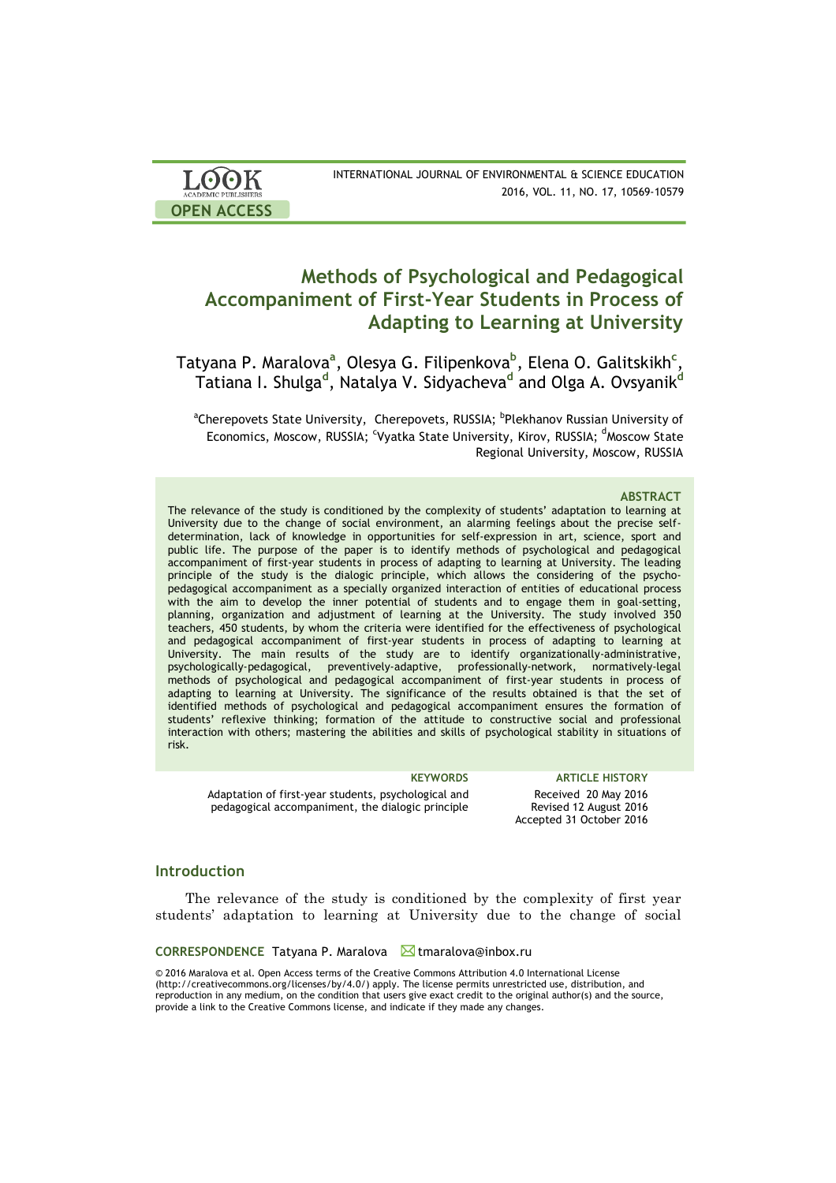| <b>LOOK</b>                | INTERNATIONAL JOURNAL OF ENVIRONMENTAL & SCIENCE EDUCATION |
|----------------------------|------------------------------------------------------------|
| <b>ACADEMIC PUBLISHERS</b> | 2016, VOL. 11, NO. 17, 10569-10579                         |
| <b>OPEN ACCESS</b>         |                                                            |

# **Methods of Psychological and Pedagogical Accompaniment of First-Year Students in Process of Adapting to Learning at University**

Tatyana P. Maralova<sup>a</sup>, Olesya G. Filipenkova<sup>b</sup>, Elena O. Galitskikh<sup>c</sup>, Tatiana I. Shulga**<sup>d</sup>** , Natalya V. Sidyacheva**<sup>d</sup>** and Olga A. Ovsyanik**<sup>d</sup>**

<sup>a</sup>Cherepovets State University,Cherepovets,RUSSIA;<sup>b</sup>Plekhanov Russian University of Economics, Moscow, RUSSIA; <sup>c</sup>Vyatka State University, Kirov, RUSSIA; <sup>d</sup>Moscow State Regional University, Moscow, RUSSIA

### **ABSTRACT**

The relevance of the study is conditioned by the complexity of students' adaptation to learning at University due to the change of social environment, an alarming feelings about the precise selfdetermination, lack of knowledge in opportunities for self-expression in art, science, sport and public life. The purpose of the paper is to identify methods of psychological and pedagogical accompaniment of first-year students in process of adapting to learning at University. The leading principle of the study is the dialogic principle, which allows the considering of the psychopedagogical accompaniment as a specially organized interaction of entities of educational process with the aim to develop the inner potential of students and to engage them in goal-setting, planning, organization and adjustment of learning at the University. The study involved 350 teachers, 450 students, by whom the criteria were identified for the effectiveness of psychological and pedagogical accompaniment of first-year students in process of adapting to learning at University. The main results of the study are to identify organizationally-administrative, psychologically-pedagogical, preventively-adaptive, professionally-network, normatively-legal methods of psychological and pedagogical accompaniment of first-year students in process of adapting to learning at University. The significance of the results obtained is that the set of identified methods of psychological and pedagogical accompaniment ensures the formation of students' reflexive thinking; formation of the attitude to constructive social and professional interaction with others; mastering the abilities and skills of psychological stability in situations of risk.

Adaptation of first-year students, psychological and pedagogical accompaniment, the dialogic principle

**KEYWORDS ARTICLE HISTORY** Received 20 May 2016 Revised 12 August 2016 Accepted 31 October 2016

# **Introduction**

The relevance of the study is conditioned by the complexity of first year students' adaptation to learning at University due to the change of social

### **CORRESPONDENCE** Tatyana P. Maralova Munaralova@inbox.ru

© 2016 Maralova et al. Open Access terms of the Creative Commons Attribution 4.0 International License (http://creativecommons.org/licenses/by/4.0/) apply. The license permits unrestricted use, distribution, and reproduction in any medium, on the condition that users give exact credit to the original author(s) and the source, provide a link to the Creative Commons license, and indicate if they made any changes.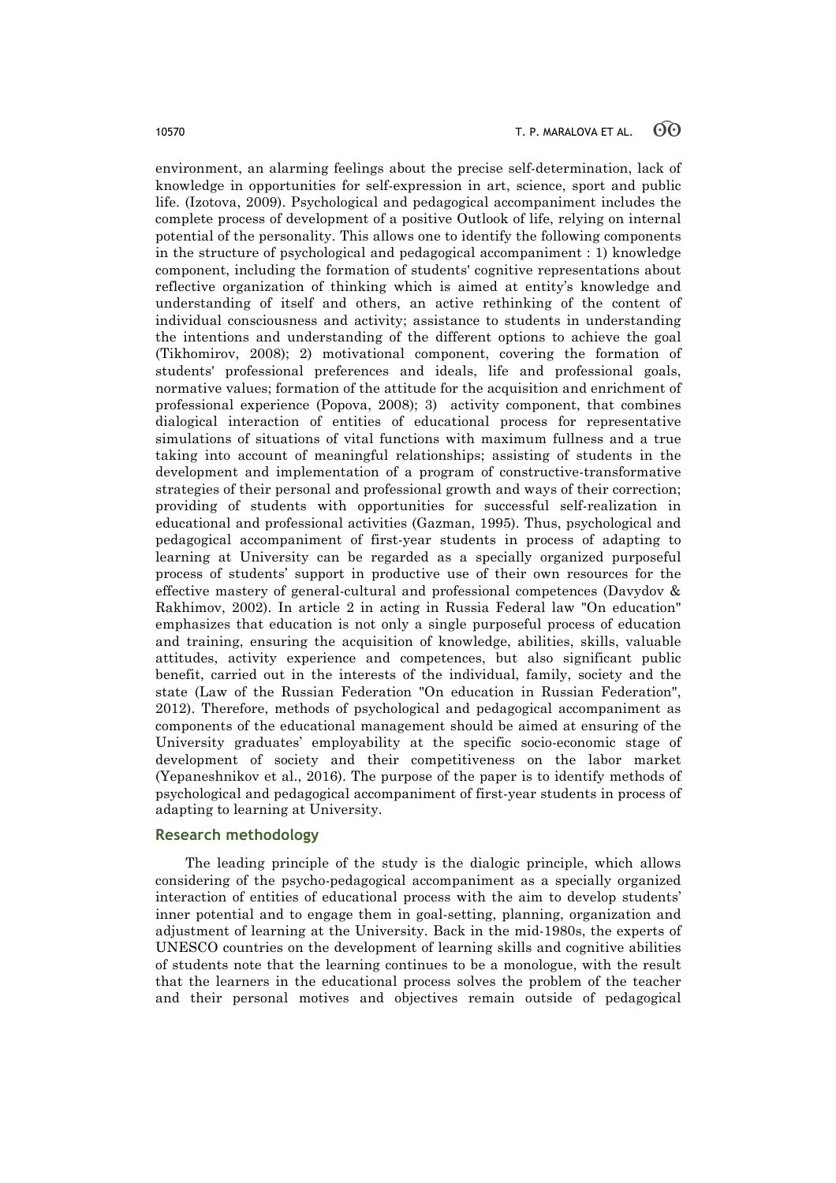environment, an alarming feelings about the precise self-determination, lack of knowledge in opportunities for self-expression in art, science, sport and public life. (Izotova, 2009). Psychological and pedagogical accompaniment includes the complete process of development of a positive Outlook of life, relying on internal potential of the personality. This allows one to identify the following components in the structure of psychological and pedagogical accompaniment : 1) knowledge component, including the formation of students' cognitive representations about reflective organization of thinking which is aimed at entity's knowledge and understanding of itself and others, an active rethinking of the content of individual consciousness and activity; assistance to students in understanding the intentions and understanding of the different options to achieve the goal (Tikhomirov, 2008); 2) motivational component, covering the formation of students' professional preferences and ideals, life and professional goals, normative values; formation of the attitude for the acquisition and enrichment of professional experience (Popova, 2008); 3) activity component, that combines dialogical interaction of entities of educational process for representative simulations of situations of vital functions with maximum fullness and a true taking into account of meaningful relationships; assisting of students in the development and implementation of a program of constructive-transformative strategies of their personal and professional growth and ways of their correction; providing of students with opportunities for successful self-realization in educational and professional activities (Gazman, 1995). Thus, psychological and pedagogical accompaniment of first-year students in process of adapting to learning at University can be regarded as a specially organized purposeful process of students' support in productive use of their own resources for the effective mastery of general-cultural and professional competences (Davydov & Rakhimov, 2002). In article 2 in acting in Russia Federal law "On education" emphasizes that education is not only a single purposeful process of education and training, ensuring the acquisition of knowledge, abilities, skills, valuable attitudes, activity experience and competences, but also significant public benefit, carried out in the interests of the individual, family, society and the state (Law of the Russian Federation "On education in Russian Federation", 2012). Therefore, methods of psychological and pedagogical accompaniment as components of the educational management should be aimed at ensuring of the University graduates' employability at the specific socio-economic stage of development of society and their competitiveness on the labor market (Yepaneshnikov et al., 2016). The purpose of the paper is to identify methods of psychological and pedagogical accompaniment of first-year students in process of adapting to learning at University.

# **Research methodology**

The leading principle of the study is the dialogic principle, which allows considering of the psycho-pedagogical accompaniment as a specially organized interaction of entities of educational process with the aim to develop students' inner potential and to engage them in goal-setting, planning, organization and adjustment of learning at the University. Back in the mid-1980s, the experts of UNESCO countries on the development of learning skills and cognitive abilities of students note that the learning continues to be a monologue, with the result that the learners in the educational process solves the problem of the teacher and their personal motives and objectives remain outside of pedagogical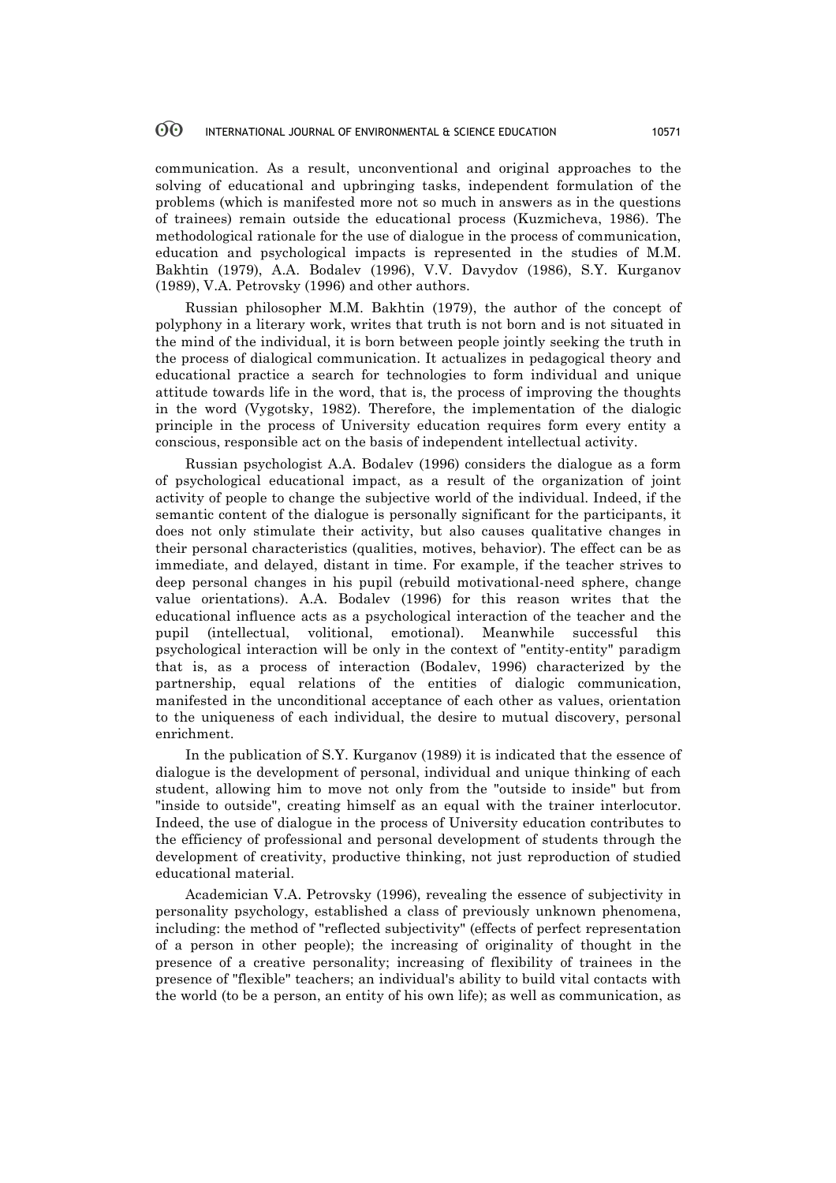communication. As a result, unconventional and original approaches to the solving of educational and upbringing tasks, independent formulation of the problems (which is manifested more not so much in answers as in the questions of trainees) remain outside the educational process (Kuzmicheva, 1986). The methodological rationale for the use of dialogue in the process of communication, education and psychological impacts is represented in the studies of M.M. Bakhtin (1979), A.A. Bodalev (1996), V.V. Davydov (1986), S.Y. Kurganov (1989), V.A. Petrovsky (1996) and other authors.

Russian philosopher M.M. Bakhtin (1979), the author of the concept of polyphony in a literary work, writes that truth is not born and is not situated in the mind of the individual, it is born between people jointly seeking the truth in the process of dialogical communication. It actualizes in pedagogical theory and educational practice a search for technologies to form individual and unique attitude towards life in the word, that is, the process of improving the thoughts in the word (Vygotsky, 1982). Therefore, the implementation of the dialogic principle in the process of University education requires form every entity a conscious, responsible act on the basis of independent intellectual activity.

Russian psychologist A.A. Bodalev (1996) considers the dialogue as a form of psychological educational impact, as a result of the organization of joint activity of people to change the subjective world of the individual. Indeed, if the semantic content of the dialogue is personally significant for the participants, it does not only stimulate their activity, but also causes qualitative changes in their personal characteristics (qualities, motives, behavior). The effect can be as immediate, and delayed, distant in time. For example, if the teacher strives to deep personal changes in his pupil (rebuild motivational-need sphere, change value orientations). A.A. Bodalev (1996) for this reason writes that the educational influence acts as a psychological interaction of the teacher and the pupil (intellectual, volitional, emotional). Meanwhile successful this psychological interaction will be only in the context of "entity-entity" paradigm that is, as a process of interaction (Bodalev, 1996) characterized by the partnership, equal relations of the entities of dialogic communication, manifested in the unconditional acceptance of each other as values, orientation to the uniqueness of each individual, the desire to mutual discovery, personal enrichment.

In the publication of S.Y. Kurganov (1989) it is indicated that the essence of dialogue is the development of personal, individual and unique thinking of each student, allowing him to move not only from the "outside to inside" but from "inside to outside", creating himself as an equal with the trainer interlocutor. Indeed, the use of dialogue in the process of University education contributes to the efficiency of professional and personal development of students through the development of creativity, productive thinking, not just reproduction of studied educational material.

Academician V.A. Petrovsky (1996), revealing the essence of subjectivity in personality psychology, established a class of previously unknown phenomena, including: the method of "reflected subjectivity" (effects of perfect representation of a person in other people); the increasing of originality of thought in the presence of a creative personality; increasing of flexibility of trainees in the presence of "flexible" teachers; an individual's ability to build vital contacts with the world (to be a person, an entity of his own life); as well as communication, as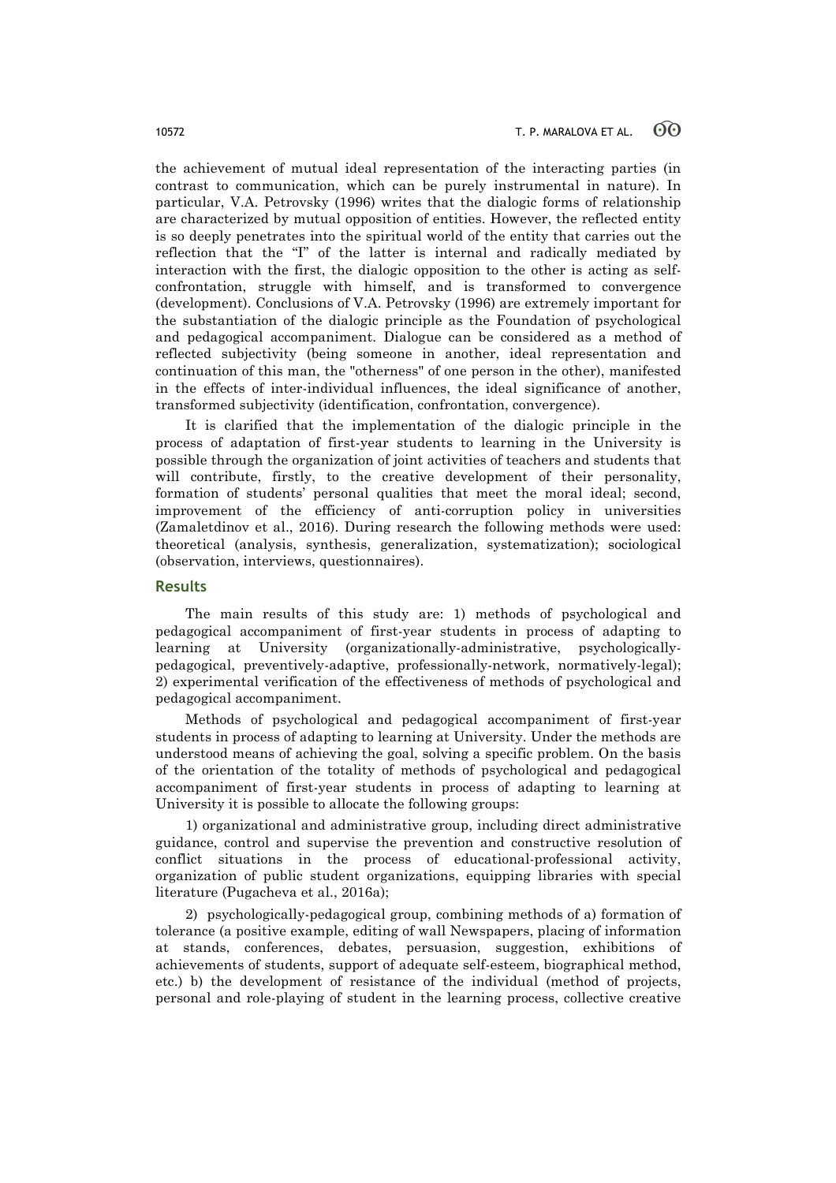the achievement of mutual ideal representation of the interacting parties (in contrast to communication, which can be purely instrumental in nature). In particular, V.A. Petrovsky (1996) writes that the dialogic forms of relationship are characterized by mutual opposition of entities. However, the reflected entity is so deeply penetrates into the spiritual world of the entity that carries out the reflection that the "I" of the latter is internal and radically mediated by interaction with the first, the dialogic opposition to the other is acting as selfconfrontation, struggle with himself, and is transformed to convergence (development). Conclusions of V.A. Petrovsky (1996) are extremely important for the substantiation of the dialogic principle as the Foundation of psychological and pedagogical accompaniment. Dialogue can be considered as a method of reflected subjectivity (being someone in another, ideal representation and continuation of this man, the "otherness" of one person in the other), manifested in the effects of inter-individual influences, the ideal significance of another, transformed subjectivity (identification, confrontation, convergence).

It is clarified that the implementation of the dialogic principle in the process of adaptation of first-year students to learning in the University is possible through the organization of joint activities of teachers and students that will contribute, firstly, to the creative development of their personality, formation of students' personal qualities that meet the moral ideal; second, improvement of the efficiency of anti-corruption policy in universities (Zamaletdinov et al., 2016). During research the following methods were used: theoretical (analysis, synthesis, generalization, systematization); sociological (observation, interviews, questionnaires).

# **Results**

The main results of this study are: 1) methods of psychological and pedagogical accompaniment of first-year students in process of adapting to learning at University (organizationally-administrative, psychologicallypedagogical, preventively-adaptive, professionally-network, normatively-legal); 2) experimental verification of the effectiveness of methods of psychological and pedagogical accompaniment.

Methods of psychological and pedagogical accompaniment of first-year students in process of adapting to learning at University. Under the methods are understood means of achieving the goal, solving a specific problem. On the basis of the orientation of the totality of methods of psychological and pedagogical accompaniment of first-year students in process of adapting to learning at University it is possible to allocate the following groups:

1) organizational and administrative group, including direct administrative guidance, control and supervise the prevention and constructive resolution of conflict situations in the process of educational-professional activity, organization of public student organizations, equipping libraries with special literature (Pugacheva et al., 2016a);

2) psychologically-pedagogical group, combining methods of a) formation of tolerance (a positive example, editing of wall Newspapers, placing of information at stands, conferences, debates, persuasion, suggestion, exhibitions of achievements of students, support of adequate self-esteem, biographical method, etc.) b) the development of resistance of the individual (method of projects, personal and role-playing of student in the learning process, collective creative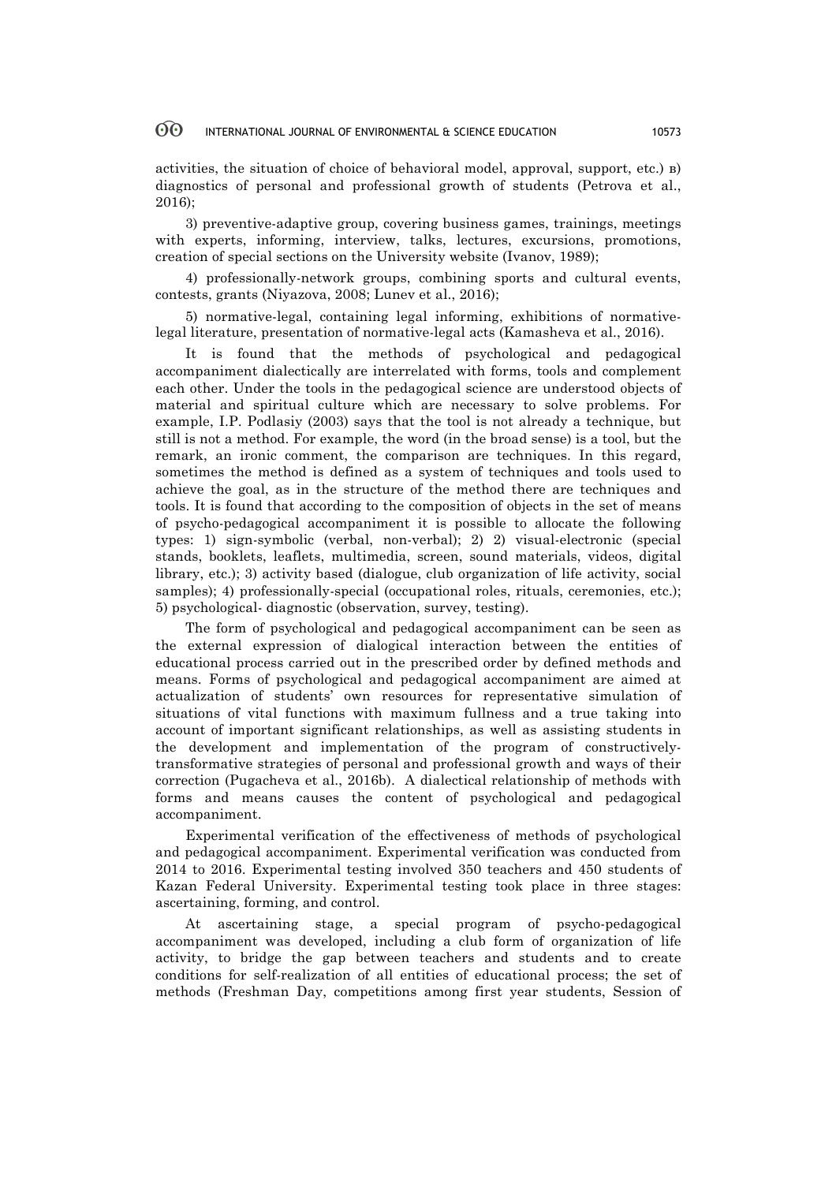#### 60 INTERNATIONAL JOURNAL OF ENVIRONMENTAL & SCIENCE EDUCATION 10573

activities, the situation of choice of behavioral model, approval, support, etc.) в) diagnostics of personal and professional growth of students (Petrova et al., 2016);

3) preventive-adaptive group, covering business games, trainings, meetings with experts, informing, interview, talks, lectures, excursions, promotions, creation of special sections on the University website (Ivanov, 1989);

4) professionally-network groups, combining sports and cultural events, contests, grants (Niyazova, 2008; Lunev et al., 2016);

5) normative-legal, containing legal informing, exhibitions of normativelegal literature, presentation of normative-legal acts (Kamasheva et al., 2016).

It is found that the methods of psychological and pedagogical accompaniment dialectically are interrelated with forms, tools and complement each other. Under the tools in the pedagogical science are understood objects of material and spiritual culture which are necessary to solve problems. For example, I.P. Podlasiy (2003) says that the tool is not already a technique, but still is not a method. For example, the word (in the broad sense) is a tool, but the remark, an ironic comment, the comparison are techniques. In this regard, sometimes the method is defined as a system of techniques and tools used to achieve the goal, as in the structure of the method there are techniques and tools. It is found that according to the composition of objects in the set of means of psycho-pedagogical accompaniment it is possible to allocate the following types: 1) sign-symbolic (verbal, non-verbal); 2) 2) visual-electronic (special stands, booklets, leaflets, multimedia, screen, sound materials, videos, digital library, etc.); 3) activity based (dialogue, club organization of life activity, social samples); 4) professionally-special (occupational roles, rituals, ceremonies, etc.); 5) psychological- diagnostic (observation, survey, testing).

The form of psychological and pedagogical accompaniment can be seen as the external expression of dialogical interaction between the entities of educational process carried out in the prescribed order by defined methods and means. Forms of psychological and pedagogical accompaniment are aimed at actualization of students' own resources for representative simulation of situations of vital functions with maximum fullness and a true taking into account of important significant relationships, as well as assisting students in the development and implementation of the program of constructivelytransformative strategies of personal and professional growth and ways of their correction (Pugacheva et al., 2016b). A dialectical relationship of methods with forms and means causes the content of psychological and pedagogical accompaniment.

Experimental verification of the effectiveness of methods of psychological and pedagogical accompaniment. Experimental verification was conducted from 2014 to 2016. Experimental testing involved 350 teachers and 450 students of Kazan Federal University. Experimental testing took place in three stages: ascertaining, forming, and control.

At ascertaining stage, a special program of psycho-pedagogical accompaniment was developed, including a club form of organization of life activity, to bridge the gap between teachers and students and to create conditions for self-realization of all entities of educational process; the set of methods (Freshman Day, competitions among first year students, Session of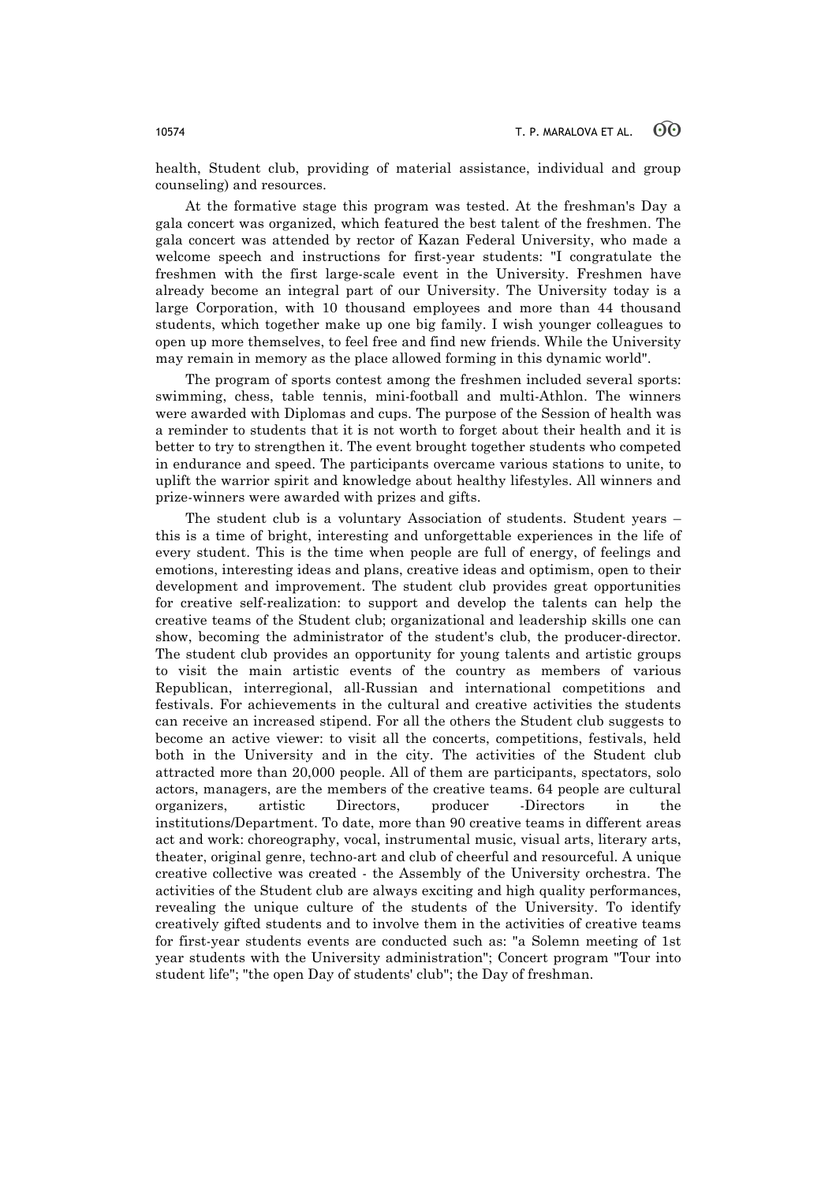health, Student club, providing of material assistance, individual and group counseling) and resources.

At the formative stage this program was tested. At the freshman's Day a gala concert was organized, which featured the best talent of the freshmen. The gala concert was attended by rector of Kazan Federal University, who made a welcome speech and instructions for first-year students: "I congratulate the freshmen with the first large-scale event in the University. Freshmen have already become an integral part of our University. The University today is a large Corporation, with 10 thousand employees and more than 44 thousand students, which together make up one big family. I wish younger colleagues to open up more themselves, to feel free and find new friends. While the University may remain in memory as the place allowed forming in this dynamic world".

The program of sports contest among the freshmen included several sports: swimming, chess, table tennis, mini-football and multi-Athlon. The winners were awarded with Diplomas and cups. The purpose of the Session of health was a reminder to students that it is not worth to forget about their health and it is better to try to strengthen it. The event brought together students who competed in endurance and speed. The participants overcame various stations to unite, to uplift the warrior spirit and knowledge about healthy lifestyles. All winners and prize-winners were awarded with prizes and gifts.

The student club is a voluntary Association of students. Student years – this is a time of bright, interesting and unforgettable experiences in the life of every student. This is the time when people are full of energy, of feelings and emotions, interesting ideas and plans, creative ideas and optimism, open to their development and improvement. The student club provides great opportunities for creative self-realization: to support and develop the talents can help the creative teams of the Student club; organizational and leadership skills one can show, becoming the administrator of the student's club, the producer-director. The student club provides an opportunity for young talents and artistic groups to visit the main artistic events of the country as members of various Republican, interregional, all-Russian and international competitions and festivals. For achievements in the cultural and creative activities the students can receive an increased stipend. For all the others the Student club suggests to become an active viewer: to visit all the concerts, competitions, festivals, held both in the University and in the city. The activities of the Student club attracted more than 20,000 people. All of them are participants, spectators, solo actors, managers, are the members of the creative teams. 64 people are cultural organizers, artistic Directors, producer -Directors in the institutions/Department. To date, more than 90 creative teams in different areas act and work: choreography, vocal, instrumental music, visual arts, literary arts, theater, original genre, techno-art and club of cheerful and resourceful. A unique creative collective was created - the Assembly of the University orchestra. The activities of the Student club are always exciting and high quality performances, revealing the unique culture of the students of the University. To identify creatively gifted students and to involve them in the activities of creative teams for first-year students events are conducted such as: "a Solemn meeting of 1st year students with the University administration"; Concert program "Tour into student life"; "the open Day of students' club"; the Day of freshman.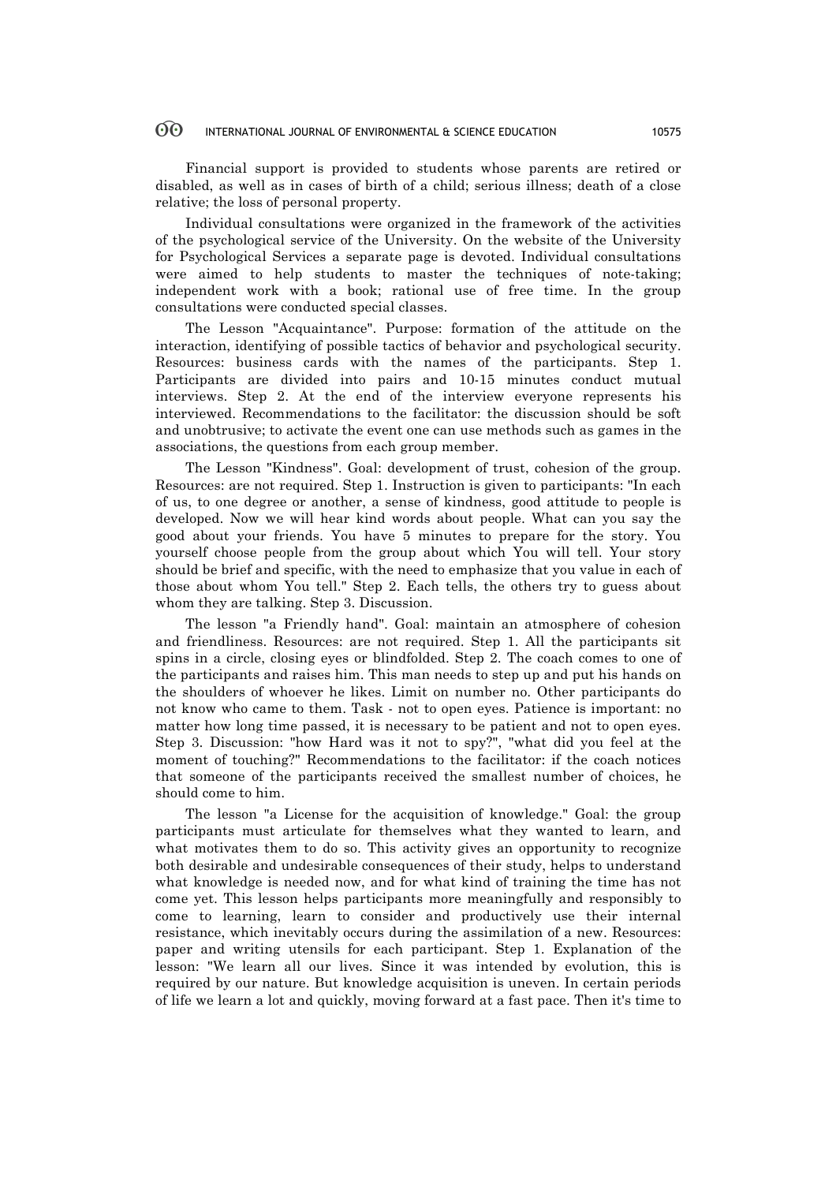#### 60 INTERNATIONAL JOURNAL OF ENVIRONMENTAL & SCIENCE EDUCATION 10575

Financial support is provided to students whose parents are retired or disabled, as well as in cases of birth of a child; serious illness; death of a close relative; the loss of personal property.

Individual consultations were organized in the framework of the activities of the psychological service of the University. On the website of the University for Psychological Services a separate page is devoted. Individual consultations were aimed to help students to master the techniques of note-taking; independent work with a book; rational use of free time. In the group consultations were conducted special classes.

The Lesson "Acquaintance". Purpose: formation of the attitude on the interaction, identifying of possible tactics of behavior and psychological security. Resources: business cards with the names of the participants. Step 1. Participants are divided into pairs and 10-15 minutes conduct mutual interviews. Step 2. At the end of the interview everyone represents his interviewed. Recommendations to the facilitator: the discussion should be soft and unobtrusive; to activate the event one can use methods such as games in the associations, the questions from each group member.

The Lesson "Kindness". Goal: development of trust, cohesion of the group. Resources: are not required. Step 1. Instruction is given to participants: "In each of us, to one degree or another, a sense of kindness, good attitude to people is developed. Now we will hear kind words about people. What can you say the good about your friends. You have 5 minutes to prepare for the story. You yourself choose people from the group about which You will tell. Your story should be brief and specific, with the need to emphasize that you value in each of those about whom You tell." Step 2. Each tells, the others try to guess about whom they are talking. Step 3. Discussion.

The lesson "a Friendly hand". Goal: maintain an atmosphere of cohesion and friendliness. Resources: are not required. Step 1. All the participants sit spins in a circle, closing eyes or blindfolded. Step 2. The coach comes to one of the participants and raises him. This man needs to step up and put his hands on the shoulders of whoever he likes. Limit on number no. Other participants do not know who came to them. Task - not to open eyes. Patience is important: no matter how long time passed, it is necessary to be patient and not to open eyes. Step 3. Discussion: "how Hard was it not to spy?", "what did you feel at the moment of touching?" Recommendations to the facilitator: if the coach notices that someone of the participants received the smallest number of choices, he should come to him.

The lesson "a License for the acquisition of knowledge." Goal: the group participants must articulate for themselves what they wanted to learn, and what motivates them to do so. This activity gives an opportunity to recognize both desirable and undesirable consequences of their study, helps to understand what knowledge is needed now, and for what kind of training the time has not come yet. This lesson helps participants more meaningfully and responsibly to come to learning, learn to consider and productively use their internal resistance, which inevitably occurs during the assimilation of a new. Resources: paper and writing utensils for each participant. Step 1. Explanation of the lesson: "We learn all our lives. Since it was intended by evolution, this is required by our nature. But knowledge acquisition is uneven. In certain periods of life we learn a lot and quickly, moving forward at a fast pace. Then it's time to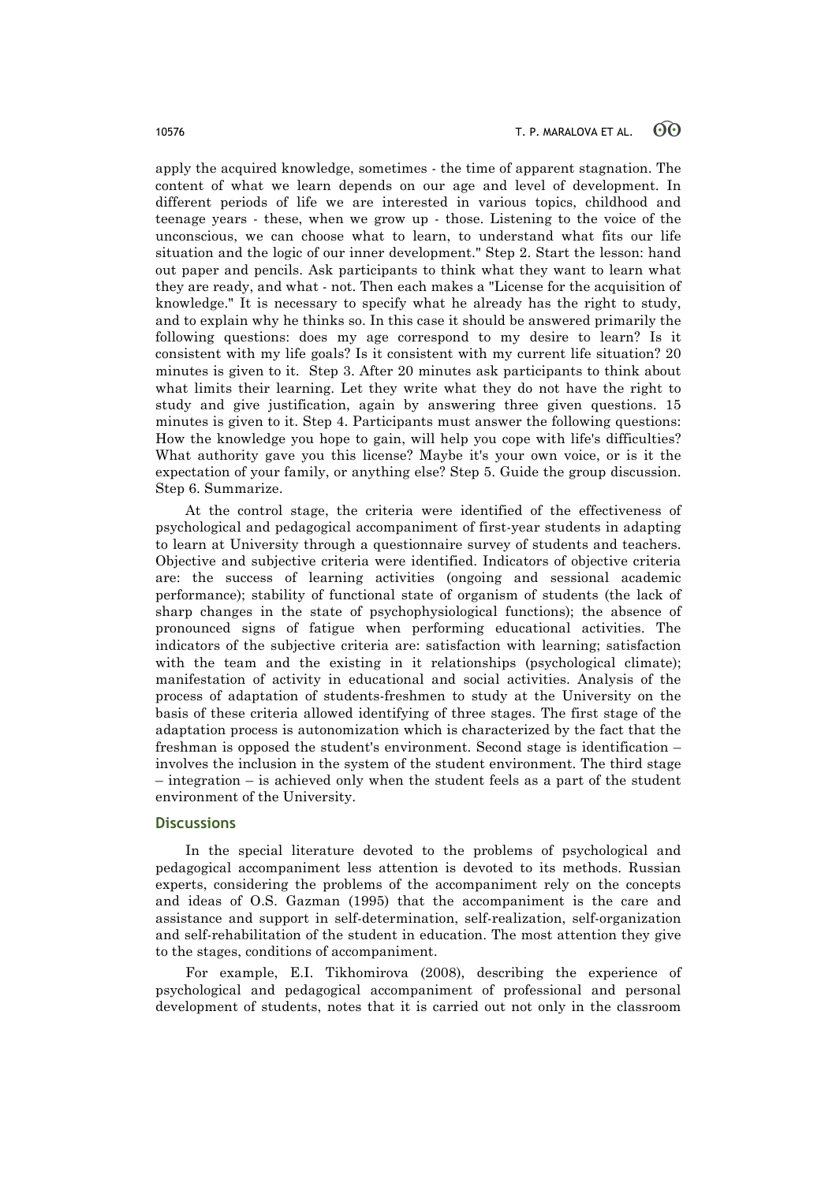apply the acquired knowledge, sometimes - the time of apparent stagnation. The content of what we learn depends on our age and level of development. In different periods of life we are interested in various topics, childhood and teenage years - these, when we grow up - those. Listening to the voice of the unconscious, we can choose what to learn, to understand what fits our life situation and the logic of our inner development." Step 2. Start the lesson: hand out paper and pencils. Ask participants to think what they want to learn what they are ready, and what - not. Then each makes a "License for the acquisition of knowledge." It is necessary to specify what he already has the right to study, and to explain why he thinks so. In this case it should be answered primarily the following questions: does my age correspond to my desire to learn? Is it consistent with my life goals? Is it consistent with my current life situation? 20 minutes is given to it. Step 3. After 20 minutes ask participants to think about what limits their learning. Let they write what they do not have the right to study and give justification, again by answering three given questions. 15 minutes is given to it. Step 4. Participants must answer the following questions: How the knowledge you hope to gain, will help you cope with life's difficulties? What authority gave you this license? Maybe it's your own voice, or is it the expectation of your family, or anything else? Step 5. Guide the group discussion. Step 6. Summarize.

At the control stage, the criteria were identified of the effectiveness of psychological and pedagogical accompaniment of first-year students in adapting to learn at University through a questionnaire survey of students and teachers. Objective and subjective criteria were identified. Indicators of objective criteria are: the success of learning activities (ongoing and sessional academic performance); stability of functional state of organism of students (the lack of sharp changes in the state of psychophysiological functions); the absence of pronounced signs of fatigue when performing educational activities. The indicators of the subjective criteria are: satisfaction with learning; satisfaction with the team and the existing in it relationships (psychological climate); manifestation of activity in educational and social activities. Analysis of the process of adaptation of students-freshmen to study at the University on the basis of these criteria allowed identifying of three stages. The first stage of the adaptation process is autonomization which is characterized by the fact that the freshman is opposed the student's environment. Second stage is identification – involves the inclusion in the system of the student environment. The third stage – integration – is achieved only when the student feels as a part of the student environment of the University.

## **Discussions**

In the special literature devoted to the problems of psychological and pedagogical accompaniment less attention is devoted to its methods. Russian experts, considering the problems of the accompaniment rely on the concepts and ideas of O.S. Gazman (1995) that the accompaniment is the care and assistance and support in self-determination, self-realization, self-organization and self-rehabilitation of the student in education. The most attention they give to the stages, conditions of accompaniment.

For example, E.I. Tikhomirova (2008), describing the experience of psychological and pedagogical accompaniment of professional and personal development of students, notes that it is carried out not only in the classroom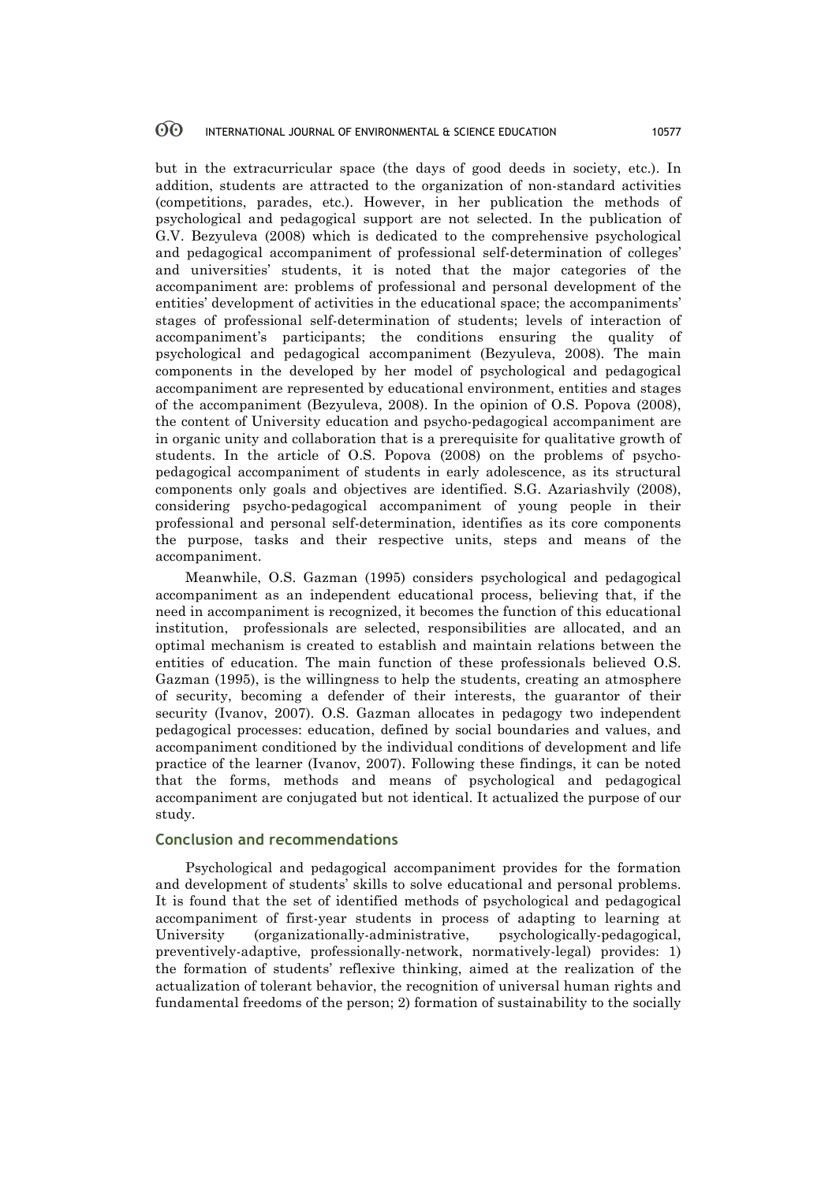but in the extracurricular space (the days of good deeds in society, etc.). In addition, students are attracted to the organization of non-standard activities (competitions, parades, etc.). However, in her publication the methods of psychological and pedagogical support are not selected. In the publication of G.V. Bezyuleva (2008) which is dedicated to the comprehensive psychological and pedagogical accompaniment of professional self-determination of colleges' and universities' students, it is noted that the major categories of the accompaniment are: problems of professional and personal development of the entities' development of activities in the educational space; the accompaniments' stages of professional self-determination of students; levels of interaction of accompaniment's participants; the conditions ensuring the quality of psychological and pedagogical accompaniment (Bezyuleva, 2008). The main components in the developed by her model of psychological and pedagogical accompaniment are represented by educational environment, entities and stages of the accompaniment (Bezyuleva, 2008). In the opinion of O.S. Popova (2008), the content of University education and psycho-pedagogical accompaniment are in organic unity and collaboration that is a prerequisite for qualitative growth of students. In the article of O.S. Popova (2008) on the problems of psychopedagogical accompaniment of students in early adolescence, as its structural components only goals and objectives are identified. S.G. Azariashvily (2008), considering psycho-pedagogical accompaniment of young people in their professional and personal self-determination, identifies as its core components the purpose, tasks and their respective units, steps and means of the accompaniment.

Meanwhile, O.S. Gazman (1995) considers psychological and pedagogical accompaniment as an independent educational process, believing that, if the need in accompaniment is recognized, it becomes the function of this educational institution, professionals are selected, responsibilities are allocated, and an optimal mechanism is created to establish and maintain relations between the entities of education. The main function of these professionals believed O.S. Gazman (1995), is the willingness to help the students, creating an atmosphere of security, becoming a defender of their interests, the guarantor of their security (Ivanov, 2007). O.S. Gazman allocates in pedagogy two independent pedagogical processes: education, defined by social boundaries and values, and accompaniment conditioned by the individual conditions of development and life practice of the learner (Ivanov, 2007). Following these findings, it can be noted that the forms, methods and means of psychological and pedagogical accompaniment are conjugated but not identical. It actualized the purpose of our study.

# **Conclusion and recommendations**

Psychological and pedagogical accompaniment provides for the formation and development of students' skills to solve educational and personal problems. It is found that the set of identified methods of psychological and pedagogical accompaniment of first-year students in process of adapting to learning at University (organizationally-administrative, psychologically-pedagogical, preventively-adaptive, professionally-network, normatively-legal) provides: 1) the formation of students' reflexive thinking, aimed at the realization of the actualization of tolerant behavior, the recognition of universal human rights and fundamental freedoms of the person; 2) formation of sustainability to the socially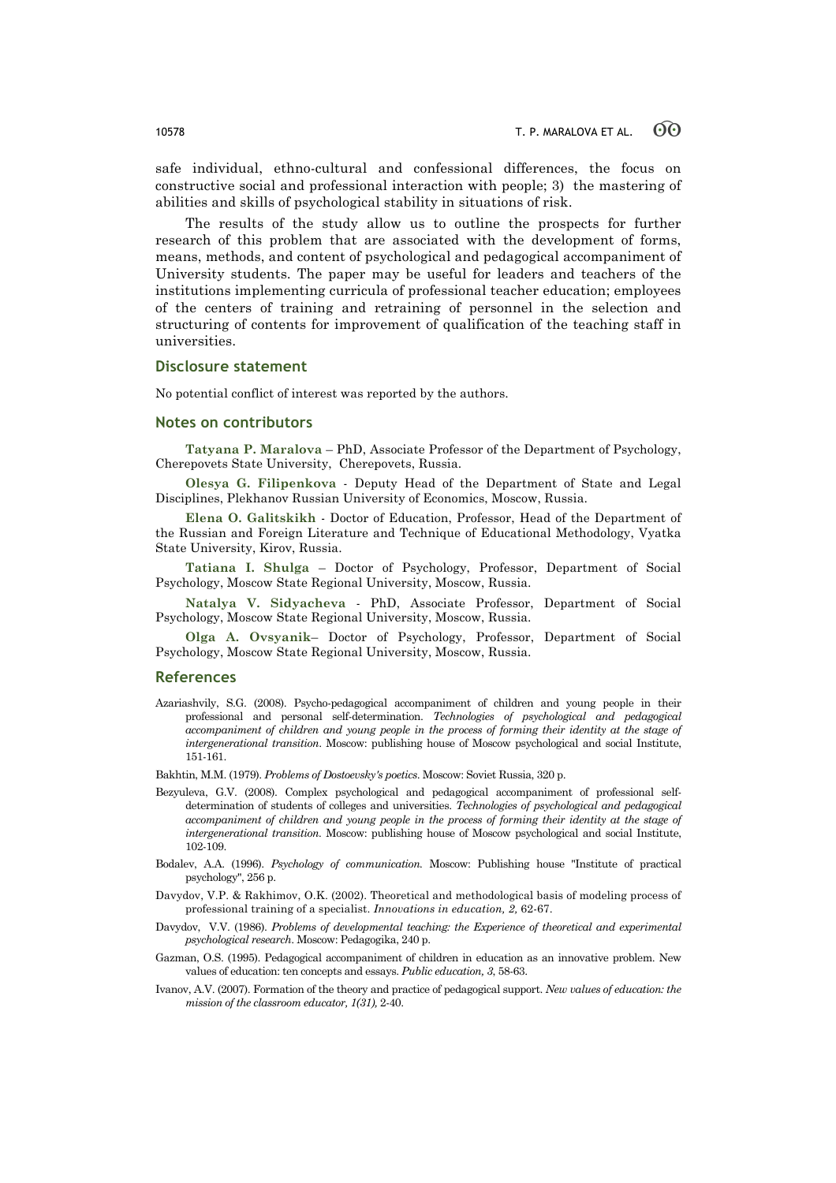safe individual, ethno-cultural and confessional differences, the focus on constructive social and professional interaction with people; 3) the mastering of abilities and skills of psychological stability in situations of risk.

The results of the study allow us to outline the prospects for further research of this problem that are associated with the development of forms, means, methods, and content of psychological and pedagogical accompaniment of University students. The paper may be useful for leaders and teachers of the institutions implementing curricula of professional teacher education; employees of the centers of training and retraining of personnel in the selection and structuring of contents for improvement of qualification of the teaching staff in universities.

# **Disclosure statement**

No potential conflict of interest was reported by the authors.

# **Notes on contributors**

**Tatyana P. Maralova** – PhD, Associate Professor of the Department of Psychology, Cherepovets State University, Cherepovets, Russia.

**Olesya G. Filipenkova** - Deputy Head of the Department of State and Legal Disciplines, Plekhanov Russian University of Economics, Moscow, Russia.

**Elena O. Galitskikh** - Doctor of Education, Professor, Head of the Department of the Russian and Foreign Literature and Technique of Educational Methodology, Vyatka State University, Kirov, Russia.

**Tatiana I. Shulga** – Doctor of Psychology, Professor, Department of Social Psychology, Moscow State Regional University, Moscow, Russia.

**Natalya V. Sidyacheva** - PhD, Associate Professor, Department of Social Psychology, Moscow State Regional University, Moscow, Russia.

**Olga A. Ovsyanik**– Doctor of Psychology, Professor, Department of Social Psychology, Moscow State Regional University, Moscow, Russia.

### **References**

Azariashvily, S.G. (2008). Psycho-pedagogical accompaniment of children and young people in their professional and personal self-determination. *Technologies of psychological and pedagogical accompaniment of children and young people in the process of forming their identity at the stage of intergenerational transition*. Moscow: publishing house of Moscow psychological and social Institute, 151-161.

Bakhtin, M.M. (1979). *Problems of Dostoevsky's poetics*. Moscow: Soviet Russia, 320 p.

- Bezyuleva, G.V. (2008). Complex psychological and pedagogical accompaniment of professional selfdetermination of students of colleges and universities. *Technologies of psychological and pedagogical accompaniment of children and young people in the process of forming their identity at the stage of intergenerational transition.* Moscow: publishing house of Moscow psychological and social Institute, 102-109.
- Bodalev, A.A. (1996). *Psychology of communication.* Moscow: Publishing house "Institute of practical psychology", 256 p.
- Davydov, V.P. & Rakhimov, O.K. (2002). Theoretical and methodological basis of modeling process of professional training of a specialist. *Innovations in education, 2,* 62-67.
- Davydov, V.V. (1986). *Problems of developmental teaching: the Experience of theoretical and experimental psychological research*. Moscow: Pedagogika, 240 p.
- Gazman, O.S. (1995). Pedagogical accompaniment of children in education as an innovative problem. New values of education: ten concepts and essays. *Public education, 3*, 58-63.
- Ivanov, A.V. (2007). Formation of the theory and practice of pedagogical support. *New values of education: the mission of the classroom educator, 1(31)*, 2-40.